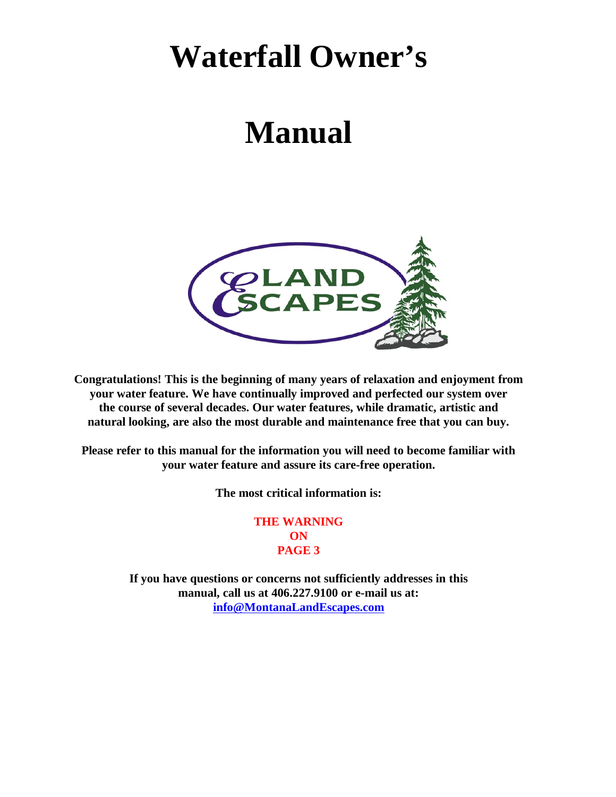## **Waterfall Owner's**

# **Manual**



**Congratulations! This is the beginning of many years of relaxation and enjoyment from your water feature. We have continually improved and perfected our system over the course of several decades. Our water features, while dramatic, artistic and natural looking, are also the most durable and maintenance free that you can buy.**

**Please refer to this manual for the information you will need to become familiar with your water feature and assure its care-free operation.**

**The most critical information is:**

**THE WARNING ON PAGE 3**

**If you have questions or concerns not sufficiently addresses in this manual, call us at 406.227.9100 or e-mail us at: [info@MontanaLandEscapes.com](mailto:info@MontanaLandEscapes.com)**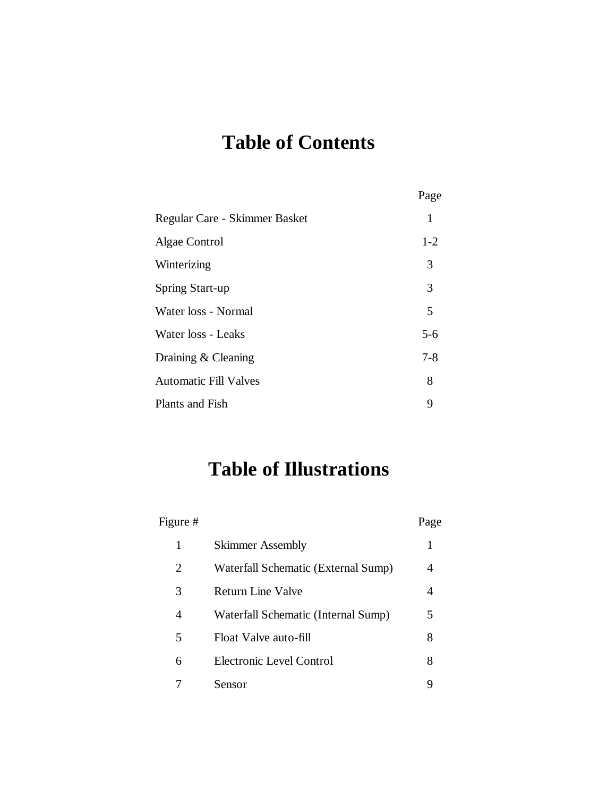## **Table of Contents**

|                               | Page    |
|-------------------------------|---------|
| Regular Care - Skimmer Basket | 1       |
| Algae Control                 | $1 - 2$ |
| Winterizing                   | 3       |
| Spring Start-up               | 3       |
| Water loss - Normal           | 5       |
| Water loss - Leaks            | $5 - 6$ |
| Draining & Cleaning           | $7 - 8$ |
| <b>Automatic Fill Valves</b>  | 8       |
| Plants and Fish               | 9       |

### **Table of Illustrations**

| Figure # |                                     | Page |
|----------|-------------------------------------|------|
| 1        | <b>Skimmer Assembly</b>             | 1    |
| 2        | Waterfall Schematic (External Sump) | 4    |
| 3        | Return Line Valve                   | 4    |
| 4        | Waterfall Schematic (Internal Sump) | 5    |
| 5        | Float Valve auto-fill               | 8    |
| 6        | Electronic Level Control            | 8    |
|          | Sensor                              |      |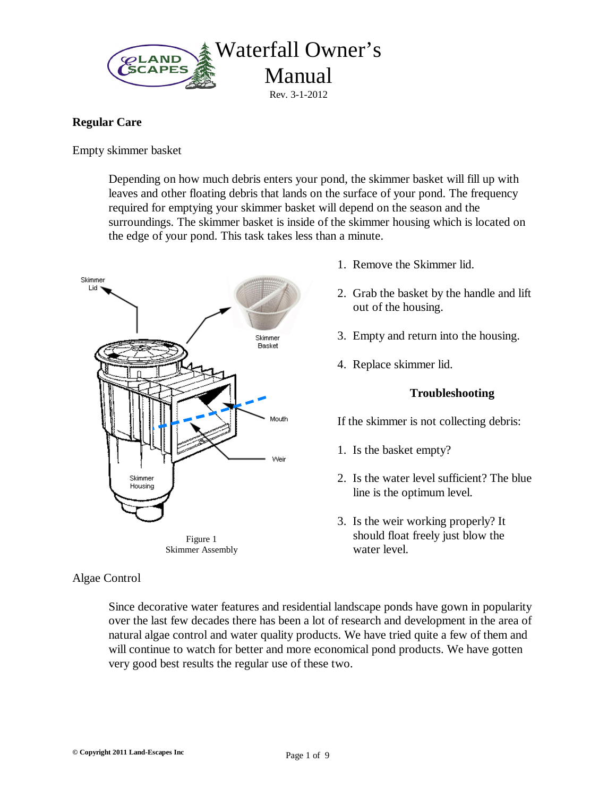

#### **Regular Care**

Empty skimmer basket

Depending on how much debris enters your pond, the skimmer basket will fill up with leaves and other floating debris that lands on the surface of your pond. The frequency required for emptying your skimmer basket will depend on the season and the surroundings. The skimmer basket is inside of the skimmer housing which is located on the edge of your pond. This task takes less than a minute.



#### Algae Control

- 1. Remove the Skimmer lid.
- 2. Grab the basket by the handle and lift out of the housing.
- 3. Empty and return into the housing.
- 4. Replace skimmer lid.

#### **Troubleshooting**

If the skimmer is not collecting debris:

- 1. Is the basket empty?
- 2. Is the water level sufficient? The blue line is the optimum level.
- 3. Is the weir working properly? It should float freely just blow the water level.

Since decorative water features and residential landscape ponds have gown in popularity over the last few decades there has been a lot of research and development in the area of natural algae control and water quality products. We have tried quite a few of them and will continue to watch for better and more economical pond products. We have gotten very good best results the regular use of these two.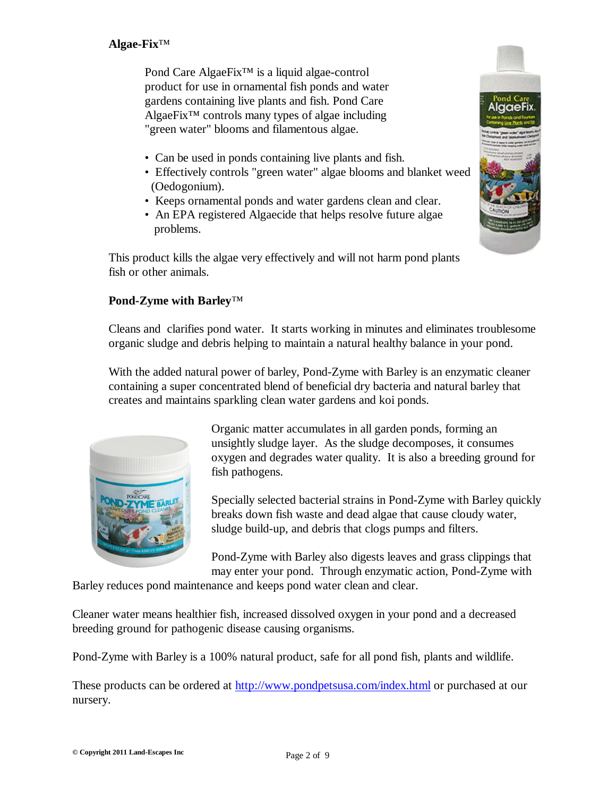Pond Care AlgaeFix™ is a liquid algae-control product for use in ornamental fish ponds and water gardens containing live plants and fish. Pond Care AlgaeFix™ controls many types of algae including "green water" blooms and filamentous algae.

- Can be used in ponds containing live plants and fish.
- Effectively controls "green water" algae blooms and blanket weed (Oedogonium).
- Keeps ornamental ponds and water gardens clean and clear.
- An EPA registered Algaecide that helps resolve future algae problems.

This product kills the algae very effectively and will not harm pond plants fish or other animals.



#### **Pond-Zyme with Barley**™

Cleans and clarifies pond water. It starts working in minutes and eliminates troublesome organic sludge and debris helping to maintain a natural healthy balance in your pond.

With the added natural power of barley, Pond-Zyme with Barley is an enzymatic cleaner containing a super concentrated blend of beneficial dry bacteria and natural barley that creates and maintains sparkling clean water gardens and koi ponds.



Organic matter accumulates in all garden ponds, forming an unsightly sludge layer. As the sludge decomposes, it consumes oxygen and degrades water quality. It is also a breeding ground for fish pathogens.

Specially selected bacterial strains in Pond-Zyme with Barley quickly breaks down fish waste and dead algae that cause cloudy water, sludge build-up, and debris that clogs pumps and filters.

Pond-Zyme with Barley also digests leaves and grass clippings that may enter your pond. Through enzymatic action, Pond-Zyme with

Barley reduces pond maintenance and keeps pond water clean and clear.

Cleaner water means healthier fish, increased dissolved oxygen in your pond and a decreased breeding ground for pathogenic disease causing organisms.

Pond-Zyme with Barley is a 100% natural product, safe for all pond fish, plants and wildlife.

These products can be ordered at <http://www.pondpetsusa.com/index.html>or purchased at our nursery.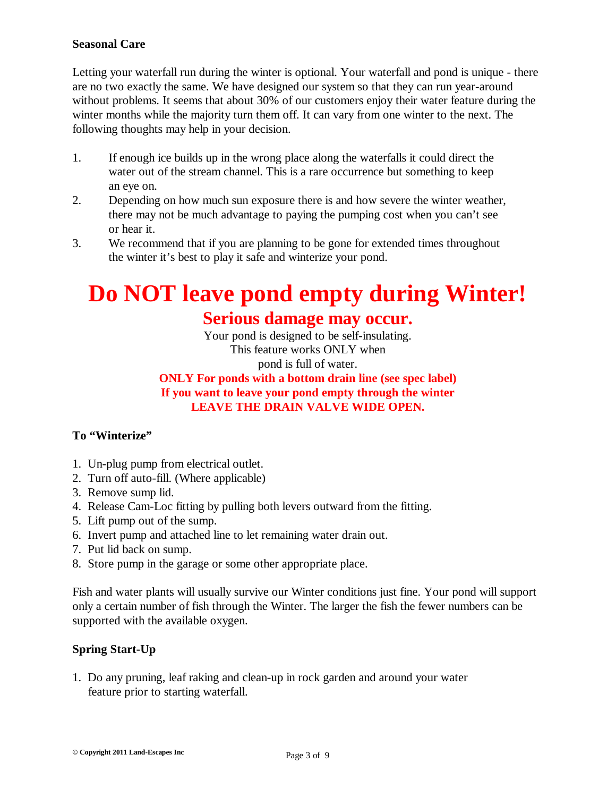#### **Seasonal Care**

Letting your waterfall run during the winter is optional. Your waterfall and pond is unique - there are no two exactly the same. We have designed our system so that they can run year-around without problems. It seems that about 30% of our customers enjoy their water feature during the winter months while the majority turn them off. It can vary from one winter to the next. The following thoughts may help in your decision.

- 1. If enough ice builds up in the wrong place along the waterfalls it could direct the water out of the stream channel. This is a rare occurrence but something to keep an eye on.
- 2. Depending on how much sun exposure there is and how severe the winter weather, there may not be much advantage to paying the pumping cost when you can't see or hear it.
- 3. We recommend that if you are planning to be gone for extended times throughout the winter it's best to play it safe and winterize your pond.

## **Do NOT leave pond empty during Winter!**

### **Serious damage may occur.**

Your pond is designed to be self-insulating. This feature works ONLY when pond is full of water.

#### **ONLY For ponds with a bottom drain line (see spec label) If you want to leave your pond empty through the winter LEAVE THE DRAIN VALVE WIDE OPEN.**

#### **To "Winterize"**

- 1. Un-plug pump from electrical outlet.
- 2. Turn off auto-fill. (Where applicable)
- 3. Remove sump lid.
- 4. Release Cam-Loc fitting by pulling both levers outward from the fitting.
- 5. Lift pump out of the sump.
- 6. Invert pump and attached line to let remaining water drain out.
- 7. Put lid back on sump.
- 8. Store pump in the garage or some other appropriate place.

Fish and water plants will usually survive our Winter conditions just fine. Your pond will support only a certain number of fish through the Winter. The larger the fish the fewer numbers can be supported with the available oxygen.

#### **Spring Start-Up**

1. Do any pruning, leaf raking and clean-up in rock garden and around your water feature prior to starting waterfall.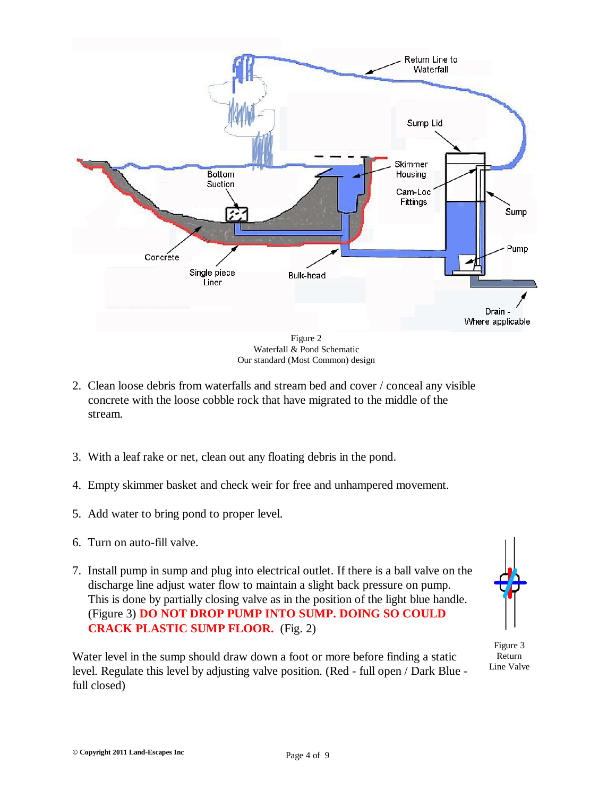

Waterfall & Pond Schematic Our standard (Most Common) design

- 2. Clean loose debris from waterfalls and stream bed and cover / conceal any visible concrete with the loose cobble rock that have migrated to the middle of the stream.
- 3. With a leaf rake or net, clean out any floating debris in the pond.
- 4. Empty skimmer basket and check weir for free and unhampered movement.
- 5. Add water to bring pond to proper level.
- 6. Turn on auto-fill valve.
- 7. Install pump in sump and plug into electrical outlet. If there is a ball valve on the discharge line adjust water flow to maintain a slight back pressure on pump. This is done by partially closing valve as in the position of the light blue handle. (Figure 3) **DO NOT DROP PUMP INTO SUMP. DOING SO COULD CRACK PLASTIC SUMP FLOOR.** (Fig. 2)

Water level in the sump should draw down a foot or more before finding a static level. Regulate this level by adjusting valve position. (Red - full open / Dark Blue full closed)



Figure 3 Return Line Valve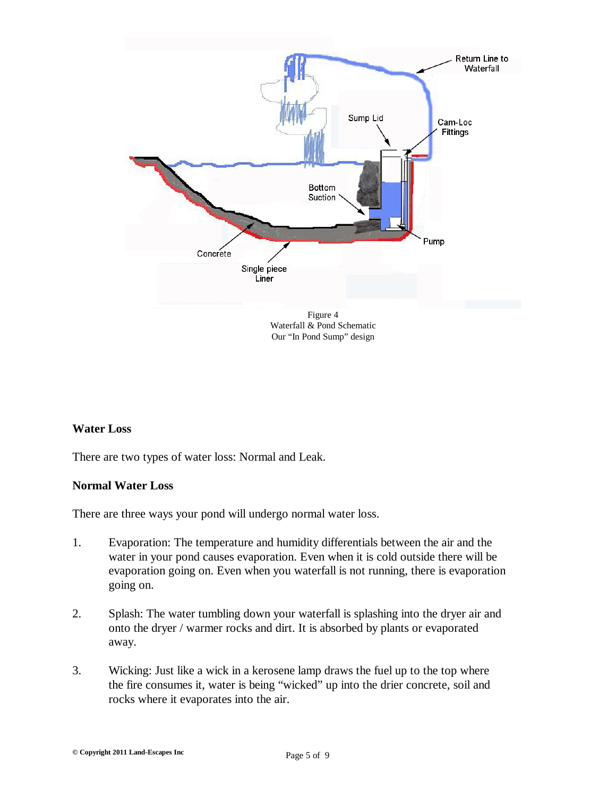

Our "In Pond Sump" design

#### **Water Loss**

There are two types of water loss: Normal and Leak.

#### **Normal Water Loss**

There are three ways your pond will undergo normal water loss.

- 1. Evaporation: The temperature and humidity differentials between the air and the water in your pond causes evaporation. Even when it is cold outside there will be evaporation going on. Even when you waterfall is not running, there is evaporation going on.
- 2. Splash: The water tumbling down your waterfall is splashing into the dryer air and onto the dryer / warmer rocks and dirt. It is absorbed by plants or evaporated away.
- 3. Wicking: Just like a wick in a kerosene lamp draws the fuel up to the top where the fire consumes it, water is being "wicked" up into the drier concrete, soil and rocks where it evaporates into the air.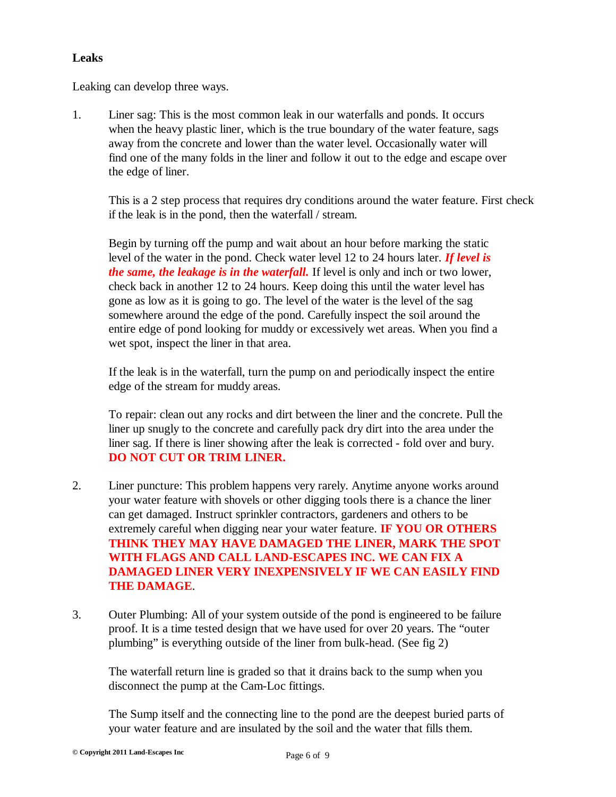#### **Leaks**

Leaking can develop three ways.

1. Liner sag: This is the most common leak in our waterfalls and ponds. It occurs when the heavy plastic liner, which is the true boundary of the water feature, sags away from the concrete and lower than the water level. Occasionally water will find one of the many folds in the liner and follow it out to the edge and escape over the edge of liner.

This is a 2 step process that requires dry conditions around the water feature. First check if the leak is in the pond, then the waterfall / stream.

Begin by turning off the pump and wait about an hour before marking the static level of the water in the pond. Check water level 12 to 24 hours later. *If level is the same, the leakage is in the waterfall.* If level is only and inch or two lower, check back in another 12 to 24 hours. Keep doing this until the water level has gone as low as it is going to go. The level of the water is the level of the sag somewhere around the edge of the pond. Carefully inspect the soil around the entire edge of pond looking for muddy or excessively wet areas. When you find a wet spot, inspect the liner in that area.

If the leak is in the waterfall, turn the pump on and periodically inspect the entire edge of the stream for muddy areas.

To repair: clean out any rocks and dirt between the liner and the concrete. Pull the liner up snugly to the concrete and carefully pack dry dirt into the area under the liner sag. If there is liner showing after the leak is corrected - fold over and bury. **DO NOT CUT OR TRIM LINER.**

- 2. Liner puncture: This problem happens very rarely. Anytime anyone works around your water feature with shovels or other digging tools there is a chance the liner can get damaged. Instruct sprinkler contractors, gardeners and others to be extremely careful when digging near your water feature. **IF YOU OR OTHERS THINK THEY MAY HAVE DAMAGED THE LINER, MARK THE SPOT WITH FLAGS AND CALL LAND-ESCAPES INC. WE CAN FIX A DAMAGED LINER VERY INEXPENSIVELY IF WE CAN EASILY FIND THE DAMAGE**.
- 3. Outer Plumbing: All of your system outside of the pond is engineered to be failure proof. It is a time tested design that we have used for over 20 years. The "outer plumbing" is everything outside of the liner from bulk-head. (See fig 2)

The waterfall return line is graded so that it drains back to the sump when you disconnect the pump at the Cam-Loc fittings.

The Sump itself and the connecting line to the pond are the deepest buried parts of your water feature and are insulated by the soil and the water that fills them.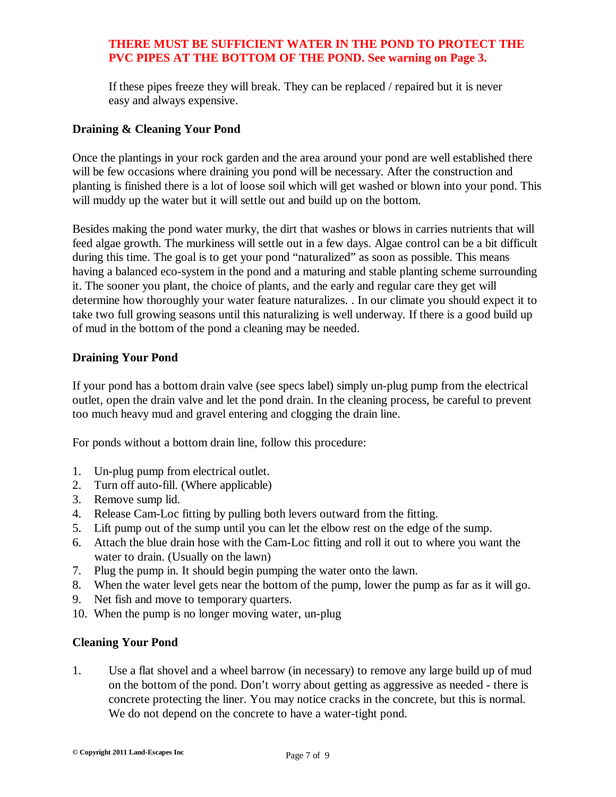#### **THERE MUST BE SUFFICIENT WATER IN THE POND TO PROTECT THE PVC PIPES AT THE BOTTOM OF THE POND. See warning on Page 3.**

If these pipes freeze they will break. They can be replaced / repaired but it is never easy and always expensive.

#### **Draining & Cleaning Your Pond**

Once the plantings in your rock garden and the area around your pond are well established there will be few occasions where draining you pond will be necessary. After the construction and planting is finished there is a lot of loose soil which will get washed or blown into your pond. This will muddy up the water but it will settle out and build up on the bottom.

Besides making the pond water murky, the dirt that washes or blows in carries nutrients that will feed algae growth. The murkiness will settle out in a few days. Algae control can be a bit difficult during this time. The goal is to get your pond "naturalized" as soon as possible. This means having a balanced eco-system in the pond and a maturing and stable planting scheme surrounding it. The sooner you plant, the choice of plants, and the early and regular care they get will determine how thoroughly your water feature naturalizes. . In our climate you should expect it to take two full growing seasons until this naturalizing is well underway. If there is a good build up of mud in the bottom of the pond a cleaning may be needed.

#### **Draining Your Pond**

If your pond has a bottom drain valve (see specs label) simply un-plug pump from the electrical outlet, open the drain valve and let the pond drain. In the cleaning process, be careful to prevent too much heavy mud and gravel entering and clogging the drain line.

For ponds without a bottom drain line, follow this procedure:

- 1. Un-plug pump from electrical outlet.
- 2. Turn off auto-fill. (Where applicable)
- 3. Remove sump lid.
- 4. Release Cam-Loc fitting by pulling both levers outward from the fitting.
- 5. Lift pump out of the sump until you can let the elbow rest on the edge of the sump.
- 6. Attach the blue drain hose with the Cam-Loc fitting and roll it out to where you want the water to drain. (Usually on the lawn)
- 7. Plug the pump in. It should begin pumping the water onto the lawn.
- 8. When the water level gets near the bottom of the pump, lower the pump as far as it will go.
- 9. Net fish and move to temporary quarters.
- 10. When the pump is no longer moving water, un-plug

#### **Cleaning Your Pond**

1. Use a flat shovel and a wheel barrow (in necessary) to remove any large build up of mud on the bottom of the pond. Don't worry about getting as aggressive as needed - there is concrete protecting the liner. You may notice cracks in the concrete, but this is normal. We do not depend on the concrete to have a water-tight pond.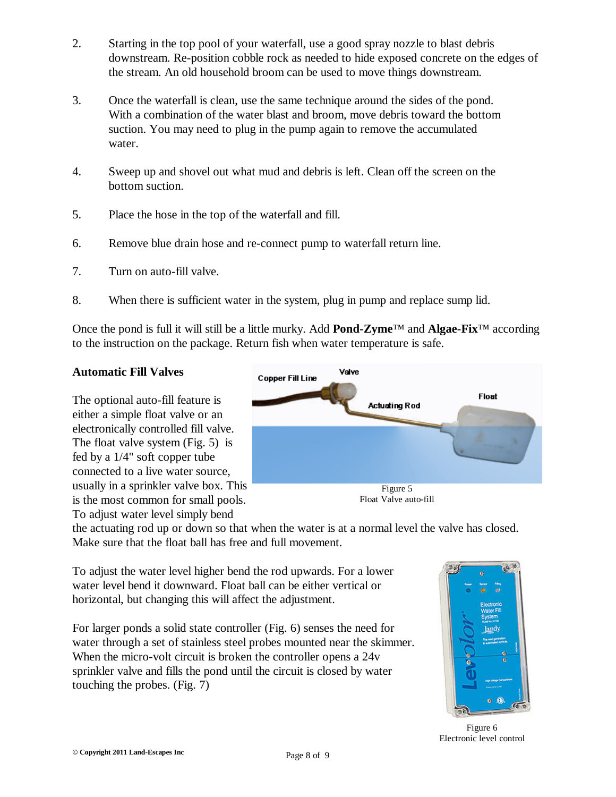- 2. Starting in the top pool of your waterfall, use a good spray nozzle to blast debris downstream. Re-position cobble rock as needed to hide exposed concrete on the edges of the stream. An old household broom can be used to move things downstream.
- 3. Once the waterfall is clean, use the same technique around the sides of the pond. With a combination of the water blast and broom, move debris toward the bottom suction. You may need to plug in the pump again to remove the accumulated water.
- 4. Sweep up and shovel out what mud and debris is left. Clean off the screen on the bottom suction.
- 5. Place the hose in the top of the waterfall and fill.
- 6. Remove blue drain hose and re-connect pump to waterfall return line.
- 7. Turn on auto-fill valve.
- 8. When there is sufficient water in the system, plug in pump and replace sump lid.

Once the pond is full it will still be a little murky. Add **Pond-Zyme**™ and **Algae-Fix**™ according to the instruction on the package. Return fish when water temperature is safe.

#### **Automatic Fill Valves**

The optional auto-fill feature is either a simple float valve or an electronically controlled fill valve. The float valve system (Fig. 5) is fed by a 1/4" soft copper tube connected to a live water source, usually in a sprinkler valve box. This is the most common for small pools.



To adjust water level simply bend

the actuating rod up or down so that when the water is at a normal level the valve has closed. Make sure that the float ball has free and full movement.

To adjust the water level higher bend the rod upwards. For a lower water level bend it downward. Float ball can be either vertical or horizontal, but changing this will affect the adjustment.

For larger ponds a solid state controller (Fig. 6) senses the need for water through a set of stainless steel probes mounted near the skimmer. When the micro-volt circuit is broken the controller opens a 24v sprinkler valve and fills the pond until the circuit is closed by water touching the probes. (Fig. 7)



Figure 6 Electronic level control